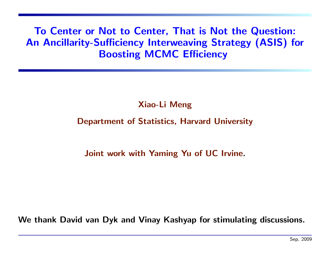#### To Center or Not to Center, That is Not the Question: An Ancillarity-Sufficiency Interweaving Strategy (ASIS) for Boosting MCMC Efficiency

#### Xiao-Li Meng

#### Department of Statistics, Harvard University

#### Joint work with Yaming Yu of UC Irvine.

We thank David van Dyk and Vinay Kashyap for stimulating discussions.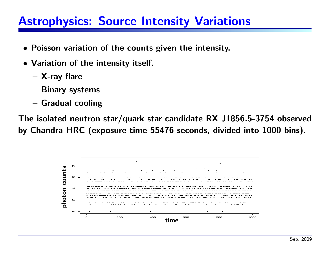#### **Astrophysics: Source Intensity Variations**

- Poisson variation of the counts given the intensity.
- Variation of the intensity itself.
	- $-$  X-ray flare
	- Binary systems
	- $-$  Gradual cooging

The isolated neut on star/quark star candidate RX J1856.5-3754 observed by Chandra HRC Fexposure time 55476 seconds, divided into 1000 bins).  $\bar{5}$ 

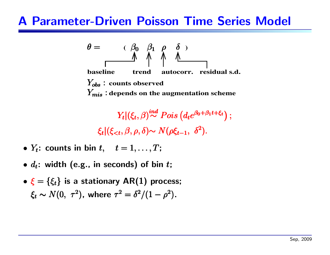#### PSfrag replacements

#### A Parameter-Driven Poisson Time Series Model

$$
\theta = \begin{pmatrix} \beta_0 & \beta_1 & \rho & \delta \\ \mathbf{A} & \mathbf{A} & \mathbf{A} & \mathbf{A} \\ \mathbf{I} & \mathbf{I} & \mathbf{I} & \mathbf{I} \\ \mathbf{I} & \mathbf{I} & \mathbf{I} & \mathbf{I} \\ \mathbf{I} & \mathbf{I} & \mathbf{I} & \mathbf{I} \end{pmatrix}
$$
\nbaseline trend autocorr. residual s.d.

\n $Y_{obs}$ : counts observed

\n $Y_{mis}$ : depends on the augmentation scheme

$$
Y_t | (\xi_t, \beta) \sim \text{Pois} \left( d_t e^{\beta_0 + \beta_1 t + \xi_t} \right);
$$
  

$$
\xi_t | (\xi_{
$$

- $\bullet \,\, Y_t \colon$  counts in bin  $t, \quad t = 1, \ldots, T;$
- $\bullet$   $d_{\boldsymbol{t}}$ : width (e.g., in seconds) of bin  $t$ ;
- $\bullet\;\boldsymbol{\xi}=\{\xi_t\}\;$  is a stationary  $\mathsf{AR}(1)$  process;  $\xi_t \sim N(0, \tau^2)$ , where  $\tau^2 = \delta^2/(1 - \rho^2)$ .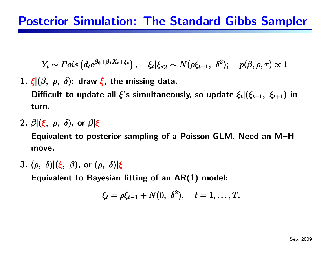$$
Y_t \sim Pois\left(d_t e^{\beta_0 + \beta_1 X_t + \xi_t}\right), \quad \xi_t | \xi_{
$$

1.  $\xi | (\beta, \rho, \delta)$ : draw  $\xi$ , the missing data. Difficult to update all  $\xi$ 's simultaneously, so update  $\xi_t$ | $(\xi_{t-1}, \xi_{t+1})$  in turn.

2.  $\beta$  $(\xi, \rho, \delta)$ , or  $\beta$  $|\xi|$ 

Equivalent to posterior sampling of <sup>a</sup> Poisson GLM. Need an M–H move.

3.  $(\rho, \delta)$  $((\xi, \beta), \text{ or } (\rho, \delta))$  $(\xi, \beta)$ 

Equivalent to Bayesian fitting of an AR(1) model:

$$
\xi_t = \rho \xi_{t-1} + N(0, \ \delta^2), \quad t = 1, \ldots, T.
$$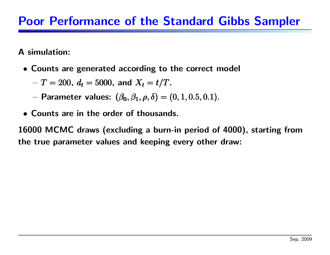#### Poor Performance of the Standard Gibbs Sampler

#### A simulation:

- Counts are generated according to the correct model
	- – $T=T=200$ ,  $d_t=5000$ , and  $X_t=t/T$ .
	- $-$  Parameter values:  $(\beta_0, \beta_1, \rho, \delta) = (0, 1, 0.5, 0.1).$
- Counts are in the order of thousands.

16000 MCMC draws (excluding <sup>a</sup> burn-in period of 4000), starting from the true parameter values and keeping every other draw: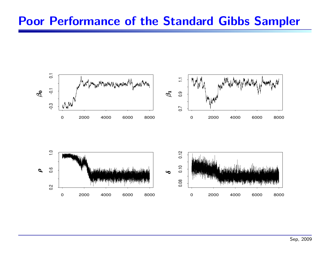





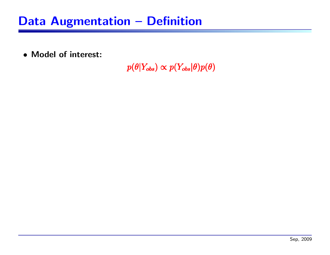• Model of interest:

 $p(\theta|Y_{obs}) \propto p(Y_{obs}|\theta)p(\theta)$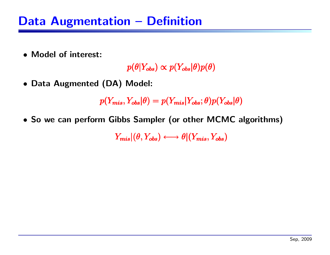• Model of interest:

 $p(\theta|Y_{obs}) \propto p(Y_{obs}|\theta)p(\theta)$ 

• Data Augmented (DA) Model:

 $p(Y_{mis}, Y_{obs}|\theta) = p(Y_{mis}|Y_{obs};\theta)p(Y_{obs}|\theta)$ 

• So we can perform Gibbs Sampler (or other MCMC algorithms)

 $Y_{mis}|(\theta, Y_{obs}) \longleftrightarrow \theta | (Y_{mis}, Y_{obs})$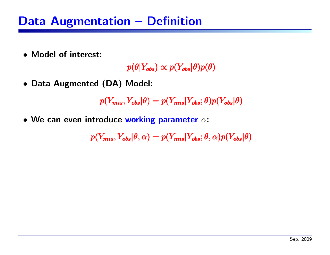• Model of interest:

 $p(\theta|Y_{obs}) \propto p(Y_{obs}|\theta)p(\theta)$ 

• Data Augmented (DA) Model:

 $p(Y_{mis}, Y_{obs}|\theta) = p(Y_{mis}|Y_{obs};\theta)p(Y_{obs}|\theta)$ 

 $\bullet\,$  We can even introduce working parameter  $\alpha$ :

 $p(Y_{mis}, Y_{obs}|\theta, \alpha) = p(Y_{mis}|Y_{obs}; \theta, \alpha)p(Y_{obs}|\theta)$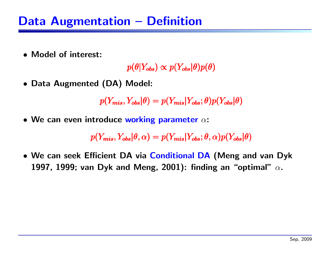• Model of interest:

 $p(\theta|Y_{obs}) \propto p(Y_{obs}|\theta)p(\theta)$ 

• Data Augmented (DA) Model:

 $p(Y_{mis}, Y_{obs}|\theta) = p(Y_{mis}|Y_{obs};\theta)p(Y_{obs}|\theta)$ 

 $\bullet\,$  We can even introduce working parameter  $\alpha$ :

 $p(Y_{mis}, Y_{obs}|\theta, \alpha) = p(Y_{mis}|Y_{obs}; \theta, \alpha)p(Y_{obs}|\theta)$ 

• We can seek Efficient DA via Conditional DA (Meng and van Dyk 1997, 1999; van Dyk and Meng, 2001): finding an "optimal"  $\alpha$ .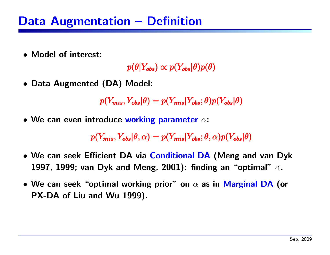• Model of interest:

 $p(\theta|Y_{obs}) \propto p(Y_{obs}|\theta)p(\theta)$ 

• Data Augmented (DA) Model:

 $p(Y_{mis}, Y_{obs}|\theta) = p(Y_{mis}|Y_{obs};\theta)p(Y_{obs}|\theta)$ 

 $\bullet\,$  We can even introduce working parameter  $\alpha$ :

 $p(Y_{mis}, Y_{obs}|\theta, \alpha) = p(Y_{mis}|Y_{obs}; \theta, \alpha)p(Y_{obs}|\theta)$ 

- We can seek Efficient DA via Conditional DA (Meng and van Dyk 1997, 1999; van Dyk and Meng, 2001): finding an "optimal"  $\alpha$ .
- $\bullet$  We can seek "optimal working prior" on  $\alpha$  as in Marginal DA (or PX-DA of Liu and Wu 1999).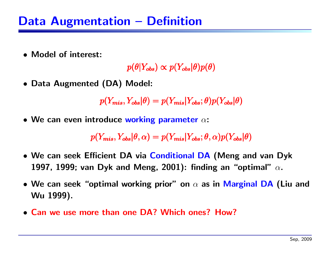• Model of interest:

 $p(\theta|Y_{obs}) \propto p(Y_{obs}|\theta)p(\theta)$ 

• Data Augmented (DA) Model:

 $p(Y_{mis}, Y_{obs}|\theta) = p(Y_{mis}|Y_{obs};\theta)p(Y_{obs}|\theta)$ 

 $\bullet\,$  We can even introduce working parameter  $\alpha$ :

 $p(Y_{mis}, Y_{obs}|\theta, \alpha) = p(Y_{mis}|Y_{obs}; \theta, \alpha)p(Y_{obs}|\theta)$ 

- We can seek Efficient DA via Conditional DA (Meng and van Dyk 1997, 1999; van Dyk and Meng, 2001): finding an "optimal"  $\alpha$ .
- $\bullet$  We can seek "optimal working prior" on  $\alpha$  as in Marginal DA (Liu and Wu 1999).
- Can we use more than one DA? Which ones? How?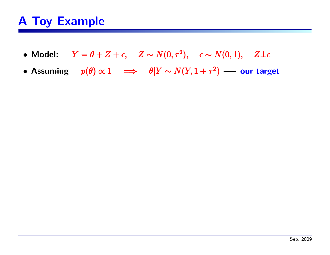- Model:  $Y = \theta + Z + \epsilon, \quad Z \sim N(0,\tau^2), \quad \epsilon \sim N(0,1), \quad Z \bot \epsilon$
- Assuming  $p(\theta) \propto 1 \quad \Longrightarrow \quad \theta | Y \sim N(Y, 1 + \tau^2) \longleftarrow$  our target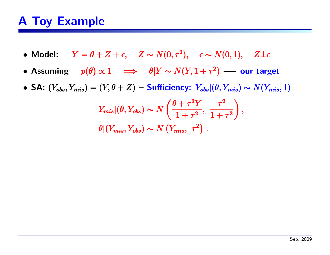- Model:  $Y = \theta + Z + \epsilon, \quad Z \sim N(0,\tau^2), \quad \epsilon \sim N(0,1), \quad Z \bot \epsilon$
- Assuming  $p(\theta) \propto 1 \quad \Longrightarrow \quad \theta | Y \sim N(Y, 1 + \tau^2) \longleftarrow$  our target
- SA:  $(Y_{obs}, Y_{mis}) = (Y, \theta + Z)$  Sufficiency:  $Y_{obs}|(\theta, Y_{mis}) \sim N(Y_{mis}, 1)$

$$
Y_{mis} | (\theta, Y_{obs}) \sim N \left( \frac{\theta + \tau^2 Y}{1 + \tau^2}, \frac{\tau^2}{1 + \tau^2} \right),
$$
  

$$
\theta | (Y_{mis}, Y_{obs}) \sim N (Y_{mis}, \tau^2).
$$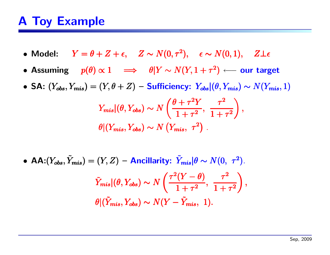- Model:  $Y = \theta + Z + \epsilon, \quad Z \sim N(0, \tau^2), \quad \epsilon \sim N(0, 1), \quad Z \bot \epsilon$
- Assuming  $p(\theta) \propto 1 \quad \Longrightarrow \quad \theta | Y \sim N(Y, 1 + \tau^2) \longleftarrow$  our target
- SA:  $(Y_{obs}, Y_{mis}) = (Y, \theta + Z)$  Sufficiency:  $Y_{obs}|(\theta, Y_{mis}) \sim N(Y_{mis}, 1)$  $Y_{mis} | (\theta, Y_{obs}) \sim N \left( \frac{\theta + \tau^2 Y}{1 + \tau^2}, \frac{\tau^2}{1 + \tau^2} \right),$

$$
\theta|(Y_{mis}, Y_{obs}) \sim N(Y_{mis}, \tau^2).
$$

 $\bullet$   $\,$  AA: $(Y_{obs}, \tilde{Y}_{n} \,$  $(Y_{obs}, \tilde{Y}_{mis}) = (Y, Z)$  $\tilde{Y}_{mis})=(Y,Z)$  – Ancillarity:  $\tilde{Y}_{tu}$  $\tilde{Y}_{mis}|\theta \sim N(0,~\tau^2)$  .  $\tilde{\boldsymbol{Y}}$  $\tilde{Y}_{mis}|(\theta, Y_{obs})$  $\tilde{\pmb{Y}}$  $\tau_{mis}|(\theta,Y_{obs})\sim N\left(\frac{\tau^2(Y-\theta)}{1+\tau^2},\; \frac{\tau^2}{1+\tau^2}\right),$  $\theta$ | $(\tilde{Y}_{n}$  $\theta|(\tilde{Y}_{mis}, Y_{obs})$  $\delta, Y_{obs}) \sim N(Y - \tilde{Y}_{n})$  $\thicksim N(Y-\tilde{Y}_{mis},~~1).$ , 1)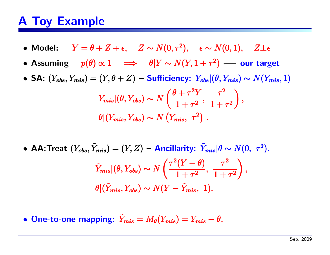- Model:  $Y = \theta + Z + \epsilon, \quad Z \sim N(0, \tau^2), \quad \epsilon \sim N(0, 1), \quad Z \bot \epsilon$
- Assuming  $p(\theta) \propto 1 \quad \Longrightarrow \quad \theta | Y \sim N(Y, 1 + \tau^2) \longleftarrow$  our target
- SA:  $(Y_{obs}, Y_{mis}) = (Y, \theta + Z)$  Sufficiency:  $Y_{obs}|(\theta, Y_{mis}) \sim N(Y_{mis}, 1)$

$$
Y_{mis} | (\theta, Y_{obs}) \sim N \left( \frac{\theta + \tau^2 Y}{1 + \tau^2}, \frac{\tau^2}{1 + \tau^2} \right),
$$
  

$$
\theta | (Y_{mis}, Y_{obs}) \sim N (Y_{mis}, \tau^2).
$$

- AA:Treat  $(Y_{obs}, \tilde{Y}_n)$  $(Y_{obs}, \tilde{Y}_{mis}) = (Y, Z)$  $(Y_{obs}, \tilde{Y}_{mis}) = (Y, Z)$  – Ancillarity:  $\tilde{Y}_{vis}$  $\tilde{Y}_{mis}|\theta \sim N(0,~\tau^2)$  $\tilde{Y}_{mis}|\theta\sim N(0,\,\,\tau^2)$  .  $\boldsymbol{\tilde{Y}}$  $\tilde{Y}_{mis}|(\theta, Y_{obs})$  $\tau_{mis}|(\theta,Y_{obs})\sim N\left(\frac{\tau^2(Y-\theta)}{1+\tau^2},\; \frac{\tau^2}{1+\tau^2}\right),$  $\theta$ | $(\tilde{Y}_{i}$  $\theta|(\tilde Y_{mis}, Y_{obs})$  $\theta$ |( $\tilde{Y}_n$  $\tilde{N}_{mis},Y_{obs})\thicksim N(Y-\tilde{Y}_{vis})$  $\sim N(Y-\tilde{Y}_{mis},~~1).$  $\thicksim N(Y-\tilde{Y}_{n}% ^{T}+\tilde{Y}_{n}^{T}+Y_{n}^{T}+Y_{n}^{T}+Y_{n}^{T}+Y_{n}^{T}+Y_{n}^{T}+Y_{n}^{T}+Y_{n}^{T}+Y_{n}^{T}+Y_{n}^{T}+Y_{n}^{T}+Y_{n}^{T}+Y_{n}^{T}+Y_{n}% ^{T}+Y_{n}^{T}%$  $(mis, 1).$
- $\bullet$  One-to-one mapping:  $\tilde{Y}_n$  $\tilde{Y}_{\bm{mis}} = M_{\theta}(Y_{\bm{mis}}) = Y_{\bm{mis}} - \theta.$  $V_{\textit{mis}} = M_{\theta}(Y_{\textit{mis}}) = Y_{\textit{mis}} - \theta.$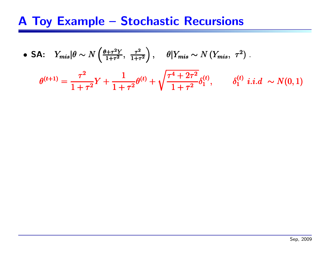• SA: 
$$
Y_{mis}|\theta \sim N\left(\frac{\theta + \tau^2 Y}{1 + \tau^2}, \frac{\tau^2}{1 + \tau^2}\right), \quad \theta|Y_{mis} \sim N(Y_{mis}, \tau^2)
$$
.  

$$
\theta^{(t+1)} = \frac{\tau^2}{1 + \tau^2}Y + \frac{1}{1 + \tau^2}\theta^{(t)} + \sqrt{\frac{\tau^4 + 2\tau^2}{1 + \tau^2}}\delta_1^{(t)}, \quad \delta_1^{(t)} i.i.d \sim N(0, 1)
$$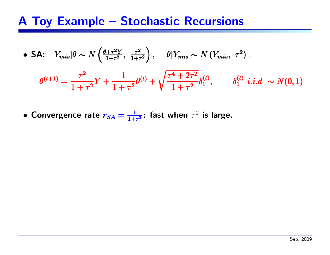• SA: 
$$
Y_{mis}|\theta \sim N\left(\frac{\theta + \tau^2 Y}{1 + \tau^2}, \frac{\tau^2}{1 + \tau^2}\right), \quad \theta|Y_{mis} \sim N(Y_{mis}, \tau^2)
$$
.  

$$
\theta^{(t+1)} = \frac{\tau^2}{1 + \tau^2}Y + \frac{1}{1 + \tau^2}\theta^{(t)} + \sqrt{\frac{\tau^4 + 2\tau^2}{1 + \tau^2}}\delta_1^{(t)}, \quad \delta_1^{(t)} i.i.d \sim N(0, 1)
$$

•• Convergence rate  $r_{SA} = \frac{1}{1+\tau^2}$ : fast when  $\tau^2$  is large.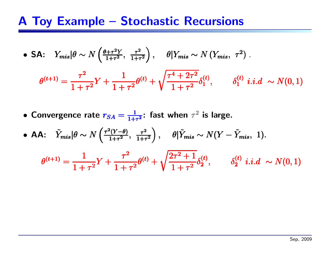• SA: 
$$
Y_{mis}|\theta \sim N\left(\frac{\theta + \tau^2 Y}{1 + \tau^2}, \frac{\tau^2}{1 + \tau^2}\right), \quad \theta|Y_{mis} \sim N(Y_{mis}, \tau^2)
$$
  

$$
\theta^{(t+1)} = \frac{\tau^2}{1 + \tau^2}Y + \frac{1}{1 + \tau^2}\theta^{(t)} + \sqrt{\frac{\tau^4 + 2\tau^2}{1 + \tau^2}}\delta_1^{(t)}, \quad \delta_1^{(t)} i.i.d \sim N(0, 1)
$$

•• Convergence rate  $r_{SA} = \frac{1}{1+\tau^2}$ : fast when  $\tau^2$  is large.

• **AA**: 
$$
\tilde{Y}_{mis}|\theta \sim N\left(\frac{\tau^2(Y-\theta)}{1+\tau^2}, \frac{\tau^2}{1+\tau^2}\right), \quad \theta|\tilde{Y}_{mis} \sim N(Y-\tilde{Y}_{mis}, 1).
$$
  

$$
\theta^{(t+1)} = \frac{1}{1+\tau^2}Y + \frac{\tau^2}{1+\tau^2}\theta^{(t)} + \sqrt{\frac{2\tau^2+1}{1+\tau^2}}\delta_2^{(t)}, \qquad \delta_2^{(t)} \ i.i.d \sim N(0, 1)
$$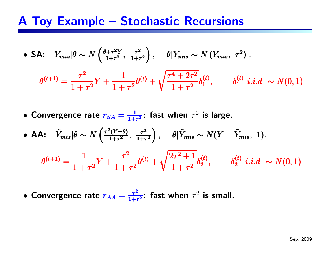• SA: 
$$
Y_{mis}|\theta \sim N\left(\frac{\theta + \tau^2 Y}{1 + \tau^2}, \frac{\tau^2}{1 + \tau^2}\right), \quad \theta|Y_{mis} \sim N(Y_{mis}, \tau^2)
$$
  

$$
\theta^{(t+1)} = \frac{\tau^2}{1 + \tau^2}Y + \frac{1}{1 + \tau^2}\theta^{(t)} + \sqrt{\frac{\tau^4 + 2\tau^2}{1 + \tau^2}}\delta_1^{(t)}, \quad \delta_1^{(t)} i.i.d \sim N(0, 1)
$$

•• Convergence rate  $r_{SA} = \frac{1}{1+\tau^2}$ : fast when  $\tau^2$  is large.

• **AA**: 
$$
\tilde{Y}_{mis}|\theta \sim N\left(\frac{\tau^2(Y-\theta)}{1+\tau^2}, \frac{\tau^2}{1+\tau^2}\right), \quad \theta|\tilde{Y}_{mis} \sim N(Y-\tilde{Y}_{mis}, 1).
$$
  

$$
\theta^{(t+1)} = \frac{1}{1+\tau^2}Y + \frac{\tau^2}{1+\tau^2}\theta^{(t)} + \sqrt{\frac{2\tau^2+1}{1+\tau^2}}\delta_2^{(t)}, \qquad \delta_2^{(t)} \ i.i.d \sim N(0, 1)
$$

•• Convergence rate  $r_{AA} = \frac{\tau^2}{1+\tau^2}$ : fast when  $\tau^2$  is small.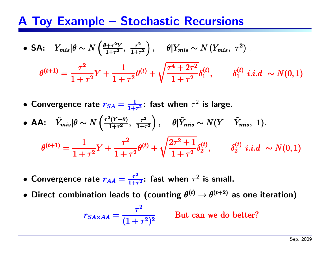• SA: 
$$
Y_{mis}|\theta \sim N\left(\frac{\theta + \tau^2 Y}{1 + \tau^2}, \frac{\tau^2}{1 + \tau^2}\right), \quad \theta|Y_{mis} \sim N(Y_{mis}, \tau^2)
$$
.  

$$
\theta^{(t+1)} = \frac{\tau^2}{1 + \tau^2}Y + \frac{1}{1 + \tau^2}\theta^{(t)} + \sqrt{\frac{\tau^4 + 2\tau^2}{1 + \tau^2}}\delta_1^{(t)}, \quad \delta_1^{(t)} \ i.i.d. \sim N(0, 1)
$$

- •• Convergence rate  $r_{SA} = \frac{1}{1+\tau^2}$ : fast when  $\tau^2$  is large.
- $\bullet$  AA:  $\tilde{Y}_{\cdot}$  $\tilde{Y}_{mis}|\theta$  $\mathcal{F}_{mis}|\theta \sim N\left(\frac{\tau^2(Y-\theta)}{1+\tau^2},\; \frac{\tau^2}{1+\tau^2}\right), \quad \theta|\tilde{Y}_{mis} \sim N(Y-\tilde{Y}_{mis}, \; 1).$  $\theta^{(t+1)} = \frac{1}{1+\tau^2} Y + \frac{\tau^2}{1+\tau^2} \theta^{(t)} + \sqrt{\frac{2\tau^2+1}{1+\tau^2}} \delta_2^{(t)}, \qquad \delta_2^{(t)} \,\, i.i.d. \, \sim N(0,1)$
- •• Convergence rate  $r_{AA} = \frac{\tau^2}{1+\tau^2}$ : fast when  $\tau^2$  is small.
- Direct combination leads to (counting  $\theta^{(t)} \rightarrow \theta^{(t+2)}$  as one iteration)

$$
r_{S A \times A A} = \frac{\tau^2}{(1 + \tau^2)^2}
$$
 But can we do better?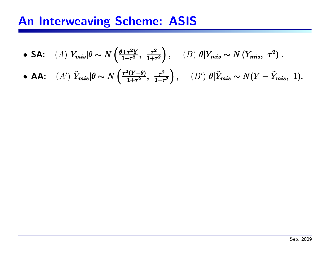• SA: (A) 
$$
Y_{mis}|\theta \sim N\left(\frac{\theta + \tau^2 Y}{1 + \tau^2}, \frac{\tau^2}{1 + \tau^2}\right)
$$
, (B)  $\theta|Y_{mis} \sim N(Y_{mis}, \tau^2)$ .

• **AA**: 
$$
(A') \ \tilde{Y}_{mis} | \theta \sim N \left( \frac{\tau^2 (Y - \theta)}{1 + \tau^2}, \ \frac{\tau^2}{1 + \tau^2} \right), \quad (B') \ \theta | \tilde{Y}_{mis} \sim N(Y - \tilde{Y}_{mis}, \ 1).
$$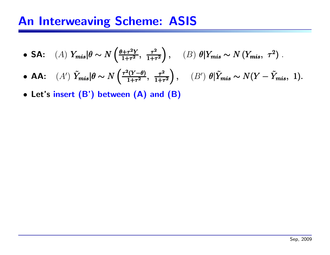• SA: (A) 
$$
Y_{mis}|\theta \sim N\left(\frac{\theta + \tau^2 Y}{1 + \tau^2}, \frac{\tau^2}{1 + \tau^2}\right)
$$
, (B)  $\theta|Y_{mis} \sim N(Y_{mis}, \tau^2)$ .

• **AA**: 
$$
(A') \tilde{Y}_{mis} | \theta \sim N \left( \frac{\tau^2 (Y - \theta)}{1 + \tau^2}, \frac{\tau^2}{1 + \tau^2} \right), \quad (B') \theta | \tilde{Y}_{mis} \sim N(Y - \tilde{Y}_{mis}, 1).
$$

• Let's insert (B') between (A) and (B)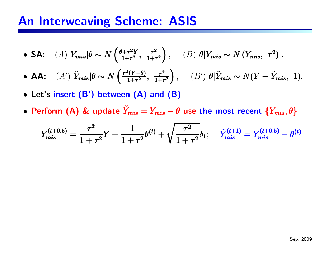• SA: (A) 
$$
Y_{mis}|\theta \sim N\left(\frac{\theta + \tau^2 Y}{1 + \tau^2}, \frac{\tau^2}{1 + \tau^2}\right)
$$
, (B)  $\theta|Y_{mis} \sim N(Y_{mis}, \tau^2)$ .

• **AA**: 
$$
(A') \ \tilde{Y}_{mis} | \theta \sim N \left( \frac{\tau^2 (Y - \theta)}{1 + \tau^2}, \frac{\tau^2}{1 + \tau^2} \right), \quad (B') \ \theta | \tilde{Y}_{mis} \sim N(Y - \tilde{Y}_{mis}, 1).
$$

- Let's insert (B') between (A) and (B)
- Perform (A) & update  $\tilde{Y}_n$  $\tilde{Y}_{\pmb{mis}} = Y_{\pmb{mis}} - \theta$  $\tilde{Y}_{\bm{mis}}=Y_{\bm{mis}}-\theta$  use the most recent  $\{Y_{\bm{mis}},\theta\}$

$$
Y_{mis}^{(t+0.5)} = \frac{\tau^2}{1+\tau^2}Y + \frac{1}{1+\tau^2}\theta^{(t)} + \sqrt{\frac{\tau^2}{1+\tau^2}}\delta_1; \quad \tilde{Y}_{mis}^{(t+1)} = Y_{mis}^{(t+0.5)} - \theta^{(t)}
$$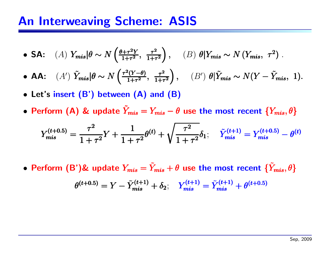• SA: (A) 
$$
Y_{mis}|\theta \sim N\left(\frac{\theta + \tau^2 Y}{1 + \tau^2}, \frac{\tau^2}{1 + \tau^2}\right)
$$
, (B)  $\theta|Y_{mis} \sim N(Y_{mis}, \tau^2)$ .

• **AA**: 
$$
(A') \ \tilde{Y}_{mis} | \theta \sim N \left( \frac{\tau^2 (Y - \theta)}{1 + \tau^2}, \ \frac{\tau^2}{1 + \tau^2} \right), \quad (B') \ \theta | \tilde{Y}_{mis} \sim N(Y - \tilde{Y}_{mis}, \ 1).
$$

- Let's insert (B') between (A) and (B)
- Perform (A) & update  $\tilde{Y}_n$  $\tilde{Y}_{\pmb{mis}} = Y_{\pmb{mis}} - \theta$  $\tilde{Y}_{\bm{mis}}=Y_{\bm{mis}}-\theta$  use the most recent  $\{Y_{\bm{mis}},\theta\}$

$$
Y_{mis}^{(t+0.5)} = \frac{\tau^2}{1+\tau^2}Y + \frac{1}{1+\tau^2}\theta^{(t)} + \sqrt{\frac{\tau^2}{1+\tau^2}}\delta_1; \quad \tilde{Y}_{mis}^{(t+1)} = Y_{mis}^{(t+0.5)} - \theta^{(t)}
$$

• Perform (B')& update  $Y_{mis} = \tilde{Y}_{t}$  $Y_{mis} = \tilde{Y}_{mis} + \theta$  $\tilde{Y}_{mis}+\theta$  use the most recent  $\{\tilde{Y}_{ib}$  $\{\tilde{Y}_{mis}, \theta\}$ 

$$
\theta^{(t+0.5)} = Y - \tilde{Y}_{mis}^{(t+1)} + \delta_2; \quad Y_{mis}^{(t+1)} = \tilde{Y}_{mis}^{(t+1)} + \theta^{(t+0.5)}
$$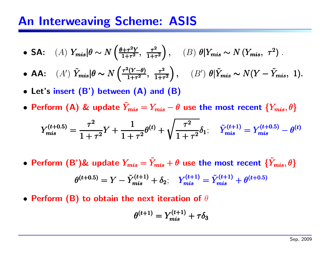• SA: (A) 
$$
Y_{mis}|\theta \sim N\left(\frac{\theta + \tau^2 Y}{1 + \tau^2}, \frac{\tau^2}{1 + \tau^2}\right)
$$
, (B)  $\theta|Y_{mis} \sim N(Y_{mis}, \tau^2)$ .

• AA: 
$$
(A') \tilde{Y}_{mis} | \theta \sim N \left( \frac{\tau^2 (Y - \theta)}{1 + \tau^2}, \frac{\tau^2}{1 + \tau^2} \right), \quad (B') \theta | \tilde{Y}_{mis} \sim N(Y - \tilde{Y}_{mis}, 1).
$$

- Let's insert (B') between (A) and (B)
- Perform (A) & update  $\tilde{Y}_i$  $\tilde{Y}_{\pmb{mis}} = Y_{\pmb{mis}} - \theta$  $\tilde{Y}_{\bm{mis}}=Y_{\bm{mis}}-\theta$  use the most recent  $\{Y_{\bm{mis}},\theta\}$

$$
Y_{mis}^{(t+0.5)} = \frac{\tau^2}{1+\tau^2}Y + \frac{1}{1+\tau^2}\theta^{(t)} + \sqrt{\frac{\tau^2}{1+\tau^2}}\delta_1; \quad \tilde{Y}_{mis}^{(t+1)} = Y_{mis}^{(t+0.5)} - \theta^{(t)}
$$

- Perform (B')& update  $Y_{mis} = \tilde{Y}_{t}$  $Y_{mis} = \tilde{Y}_{mis} + \theta$  $Y_{mis}+\theta$  use the most recent  $\{\tilde{Y}_n\}$  $\{\tilde{Y}_{mis}, \theta\}$  $\theta^{(t+0.5)} = Y - \tilde{Y}_{mis}^{(t+1)} + \delta_2; \quad Y_{mis}^{(t+1)} = \tilde{Y}_{mis}^{(t+1)} + \theta^{(t+0.5)}$
- Perform (B) to obtain the next iteration of  $\theta$

$$
\theta^{(t+1)} = Y_{mis}^{(t+1)} + \tau \delta_3
$$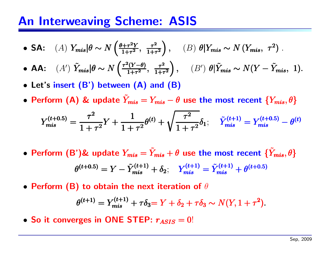• SA: (A) 
$$
Y_{mis}|\theta \sim N\left(\frac{\theta + \tau^2 Y}{1 + \tau^2}, \frac{\tau^2}{1 + \tau^2}\right)
$$
, (B)  $\theta|Y_{mis} \sim N(Y_{mis}, \tau^2)$ .

• AA: 
$$
(A') \tilde{Y}_{mis} | \theta \sim N \left( \frac{\tau^2 (Y - \theta)}{1 + \tau^2}, \frac{\tau^2}{1 + \tau^2} \right), \quad (B') \theta | \tilde{Y}_{mis} \sim N(Y - \tilde{Y}_{mis}, 1).
$$

- Let's insert (B') between (A) and (B)
- Perform (A) & update  $\tilde{Y}_i$  $\tilde{Y}_{\pmb{mis}} = Y_{\pmb{mis}} - \theta$  $\tilde{Y}_{\bm{mis}}=Y_{\bm{mis}}-\theta$  use the most recent  $\{Y_{\bm{mis}},\theta\}$

$$
Y_{mis}^{(t+0.5)} = \frac{\tau^2}{1+\tau^2}Y + \frac{1}{1+\tau^2}\theta^{(t)} + \sqrt{\frac{\tau^2}{1+\tau^2}}\delta_1; \quad \tilde{Y}_{mis}^{(t+1)} = Y_{mis}^{(t+0.5)} - \theta^{(t)}
$$

• Perform (B')& update  $Y_{mis} = \tilde{Y}_{t}$  $Y_{mis} = \tilde{Y}_{mis} + \theta$  $Y_{mis}+\theta$  use the most recent  $\{\tilde{Y}_n\}$  $\{\tilde{Y}_{mis}, \theta\}$ 

$$
\theta^{(t+0.5)} = Y - \tilde{Y}_{mis}^{(t+1)} + \delta_2; \quad Y_{mis}^{(t+1)} = \tilde{Y}_{mis}^{(t+1)} + \theta^{(t+0.5)}
$$

• Perform (B) to obtain the next iteration of  $\theta$ 

$$
\theta^{(t+1)} = Y_{mis}^{(t+1)} + \tau \delta_3 = Y + \delta_2 + \tau \delta_3 \sim N(Y, 1 + \tau^2).
$$

 $\bullet$  So it converges in ONE STEP:  $r_{ASIS}=0!$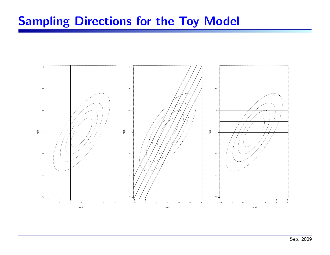#### Sampling Directions for the Toy Model

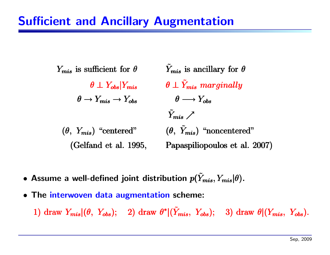#### Sufficient and Ancillary Augmentation

 $Y_{mis}$  is sufficient for  $\theta$ ˜ $\tilde{Y}_{mis}$  is ancillary for  $\theta$ ˜ $\theta \perp Y_{obs}|Y_{mis}|$ ˜ $\theta \perp \tilde{Y}_{mis}$   $marginally$  $\mathcal{F}_{\bm{mis}}$   $\bm{marginally}$  $\theta \longrightarrow Y_{mis} \longrightarrow Y_{obs}$   $\theta \longrightarrow Y_{obs}$  $\tilde{Y}$  $\boldsymbol{\tilde{Y}}$  $\begin{matrix} \gamma \ \text{mis} \end{matrix}$  $(\theta, Y_{mis})$  "centered" ˜ $(\theta, \ \tilde{Y}_{mis})$  "noncentered"  $\left( \mathbf{r}_{mis}\right) \text{ \text{\textend} }^{\ast }$ noncentered" (Gelfand et al. 1995, Papaspiliopoulos et al. 2007)

- $\bullet$  Assume a well-defined joint distribution  $p(\tilde{Y}_n)$  $p(\tilde{Y}_{mis}, Y_{mis}|\theta)$  $\mathcal{F}_{mis}, \mathcal{Y}_{mis}|\theta).$
- The interwoven data augmentation scheme:

 $1) {\rm \; draw \;\;} Y_{mis} | (\theta,\; Y_{obs}); \quad 2) {\rm \; draw \;\;} \theta^* | (\tilde{Y}_m)$  $1) {\rm \; draw \; } Y_{mis} | (\theta, \; Y_{obs}); \quad 2) {\rm \; draw \; } \theta^* | (\tilde{Y}_{mis}, \; Y_{obs}); \quad 3) {\rm \; draw \; } \theta | (Y_{mis}, \; Y_{obs}).$  $(Y_{obs}); \quad 3) \,\, {\rm draw} \,\, \theta | (Y_{mis}, \,\, Y_{obs}).$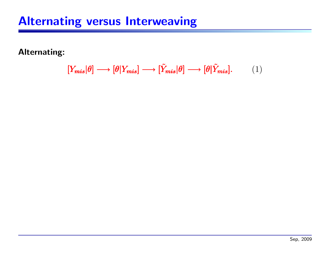Alternating:

$$
[Y_{mis}|\theta] \longrightarrow [\theta|Y_{mis}] \longrightarrow [\tilde{Y}_{mis}|\theta] \longrightarrow [\theta|\tilde{Y}_{mis}]. \tag{1}
$$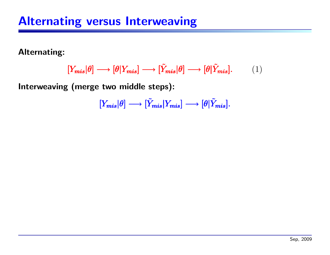Alternating:

$$
[Y_{mis}|\theta] \longrightarrow [\theta|Y_{mis}] \longrightarrow [\tilde{Y}_{mis}|\theta] \longrightarrow [\theta|\tilde{Y}_{mis}]. \tag{1}
$$

Interweaving (merge two middle steps):

 $[Y_{mis}|\theta]\longrightarrow[\tilde{Y}_n]$  $\tilde{N}_{mis}[Y_{mis}] \longrightarrow [\theta | \tilde{Y}_n]$  $[Y_{mis}|\theta]\longrightarrow[\tilde{Y}_{mis}|Y_{mis}]\longrightarrow[\theta|\tilde{Y}_{mis}].$  $V_{mis}\big|Y_{mis}\big|\longrightarrow[\theta|\tilde{Y}_n]$  $[Y_{mis}|\theta]\longrightarrow[\tilde{Y}_{mis}|Y_{mis}]\longrightarrow[\theta|\tilde{Y}_{mis}].$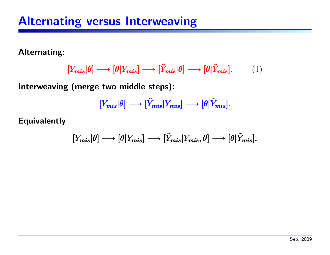Alternating:

$$
[Y_{mis}|\theta] \longrightarrow [\theta|Y_{mis}] \longrightarrow [\tilde{Y}_{mis}|\theta] \longrightarrow [\theta|\tilde{Y}_{mis}]. \tag{1}
$$

Interweaving (merge two middle steps):

$$
[Y_{mis}|\theta] \longrightarrow [\tilde{Y}_{mis}|Y_{mis}] \longrightarrow [\theta|\tilde{Y}_{mis}].
$$

Equivalently

$$
[Y_{mis}|\theta] \longrightarrow [\theta|Y_{mis}] \longrightarrow [\tilde{Y}_{mis}|Y_{mis},\theta] \longrightarrow [\theta|\tilde{Y}_{mis}].
$$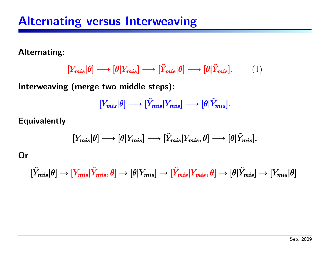Alternating:

$$
[Y_{mis}|\theta] \longrightarrow [\theta|Y_{mis}] \longrightarrow [\tilde{Y}_{mis}|\theta] \longrightarrow [\theta|\tilde{Y}_{mis}]. \tag{1}
$$

Interweaving (merge two middle steps):

$$
[Y_{mis}|\theta] \longrightarrow [\tilde{Y}_{mis}|Y_{mis}] \longrightarrow [\theta|\tilde{Y}_{mis}].
$$

Equivalently

$$
[Y_{mis}|\theta] \longrightarrow [\theta|Y_{mis}] \longrightarrow [\tilde{Y}_{mis}|Y_{mis},\theta] \longrightarrow [\theta|\tilde{Y}_{mis}].
$$

Or

$$
[\tilde{Y}_{mis}|\theta]\rightarrow[Y_{mis}|\tilde{Y}_{mis},\theta]\rightarrow[\theta|Y_{mis}]\rightarrow[\tilde{Y}_{mis}|Y_{mis},\theta]\rightarrow[\theta|\tilde{Y}_{mis}]\rightarrow[Y_{mis}|\theta].
$$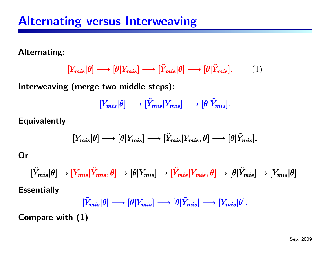Alternating:

$$
[Y_{mis}|\theta] \longrightarrow [\theta|Y_{mis}] \longrightarrow [\tilde{Y}_{mis}|\theta] \longrightarrow [\theta|\tilde{Y}_{mis}]. \tag{1}
$$

Interweaving (merge two middle steps):

$$
[Y_{mis}|\theta] \longrightarrow [\tilde{Y}_{mis}|Y_{mis}] \longrightarrow [\theta|\tilde{Y}_{mis}].
$$

#### Equivalently

$$
[Y_{mis}|\theta] \longrightarrow [\theta|Y_{mis}] \longrightarrow [\tilde{Y}_{mis}|Y_{mis},\theta] \longrightarrow [\theta|\tilde{Y}_{mis}].
$$

Or

$$
[\tilde{Y}_{mis}|\theta]\rightarrow[Y_{mis}|\tilde{Y}_{mis},\theta]\rightarrow[\theta|Y_{mis}]\rightarrow[\tilde{Y}_{mis}|Y_{mis},\theta]\rightarrow[\theta|\tilde{Y}_{mis}]\rightarrow[Y_{mis}|\theta].
$$

**Essentially** 

$$
[\tilde{Y}_{mis}|\theta] \longrightarrow [\theta|Y_{mis}] \longrightarrow [\theta|\tilde{Y}_{mis}] \longrightarrow [Y_{mis}|\theta].
$$

Compare with (1)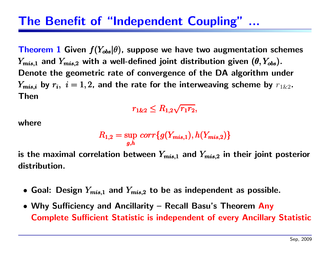Theorem 1 Given  $f(Y_{obs}|\theta)$ , suppose we have two augmentation schemes  $Y_{mis,1}$  and  $Y_{mis,2}$  with a well-defined joint distribution given  $(\theta, Y_{obs})$ . Denote the geometric rate of convergence of the DA algorithm under  $Y_{mis,i}$  by  $r_i$ ,  $i = 1, 2$ , and the rate for the interweaving scheme by  $r_{1\&2}$ . Then

 $r_{1\&2} \leq R_{1,2}\sqrt{r_1r_2},$ 

where

$$
R_{1,2} = \sup_{g,h} corr\{g(Y_{mis,1}), h(Y_{mis,2})\}
$$

is the maximal correlation between  $Y_{mis,1}$  and  $Y_{mis,2}$  in their joint posterior distribution.

- $\bullet$  Goal: Design  $Y_{mis,1}$  and  $Y_{mis,2}$  to be as independent as possible.
- Why Sufficiency and Ancillarity Recall Basu's Theorem Any Complete Sufficient Statistic is independent of every Ancillary Statistic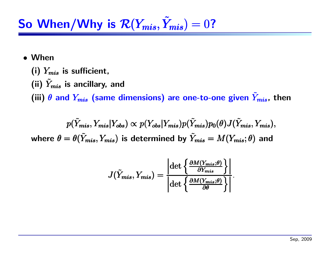#### So When/Why is  $\mathcal{R}(Y_{mis}, Y_{n})$ ˜ $\mathcal{R}(Y_{mis}, Y_{mis}) = 0$ ˜ $\mathcal{R}(Y_{mis}, Y_n$ ˜ $\zeta_{mis})=0?$

- When
	- (i)  $Y_{mis}$  is sufficient,
	- (ii)  $\tilde{Y}_{i}$  $\tilde{Y}_{mis}$  $\tilde{Y}_{mis}$  is ancillary, and

(iii)  $\theta$  and  $Y_{mis}$  (same dimensions) are one-to-one given  $\tilde{Y}_{i}$  mis ˜ mis  $\tilde{Y}_{mis}$ , then

 $p(\tilde{Y}_n$  $\tilde{Y}_{\pmb{mis}}, Y_{\pmb{mis}}|Y_{\pmb{obs}}) \propto p(Y_{\pmb{obs}}|Y_{\pmb{mis}})p(\tilde{Y}_{\pmb{mis}})$  $\tilde{f}_{mis})p_0(\theta)J(\tilde{Y}_m)$  $p(\tilde{Y}_{\pmb{mis}}, Y_{\pmb{mis}}|Y_{\pmb{obs}}) \propto p(Y_{\pmb{obs}}|Y_{\pmb{mis}})p(\tilde{Y}_{\pmb{mis}})p_0(\theta)J(\tilde{Y}_{\pmb{mis}},Y_{\pmb{mis}}),$  $p(\tilde{Y}_{mis}, Y_{mis}|Y_{obs}) \propto p(Y_{obs}|Y_{mis})p(\tilde{Y}_{mis})p_0(\theta)J(\tilde{Y}_{mis}, Y_{mis}),$  $(m_{ins})p_0(\theta)J(\theta)$  $\mathcal{F}_{\bm{mis}}, Y_{\bm{mis}}),$ where  $\theta=\theta(\tilde{Y}_{n}% )/\tau_{n}$  $\theta = \theta(\tilde{Y}_{mis}, Y_{mis})$  $\theta = \theta(\tilde{Y}_{mis}, Y_{mis})$  is determined by  $\tilde{Y}_n$  $\tilde{Y}_{mis} = M(Y_{mis};\theta)$  $V_{\textit{mis}} = M(Y_{\textit{mis}}; \theta)$  and

$$
J(\tilde{Y}_{mis}, Y_{mis}) = \frac{\left|\det\left\{\frac{\partial M(Y_{mis};\theta)}{\partial Y_{mis}}\right\}\right|}{\left|\det\left\{\frac{\partial M(Y_{mis};\theta)}{\partial \theta}\right\}\right|}.
$$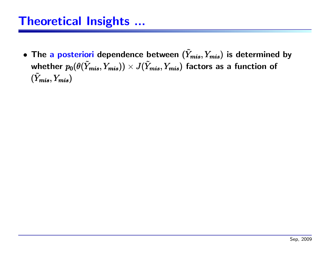$\bullet$  The a posteriori dependence between  $(\tilde{Y}_n)$  $(\tilde Y_{\boldsymbol{mis}}, Y_{\boldsymbol{mis}})$  $(\tilde{Y}_t$  $(Y_{\textit{mis}}, Y_{\textit{mis}})$  is determined by whether  $p_0(\theta(\tilde{Y}_n)$  $p_{\bm{0}}(\theta(\tilde{Y}_{mis}, Y_{mis}))$  $p_{\bf 0}(\theta(\tilde{Y}_{mis}, Y_{mis}))\times J(\tilde{Y}_{n})$  $J(\tilde Y_{mis}, Y_{mis})$  factors as a function of  $(\tilde{Y}_\imath$  $(\tilde Y_{\boldsymbol{mis}}, Y_{\boldsymbol{mis}})$  $(\tilde{Y}_\imath$  $m_{\boldsymbol{i}\boldsymbol{s}},Y_{\boldsymbol{m}\boldsymbol{i}\boldsymbol{s}})$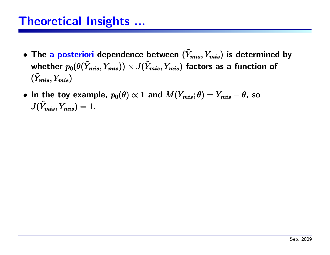- $\bullet$  The a posteriori dependence between  $(\tilde{Y}_n)$  $(\tilde Y_{\boldsymbol{mis}}, Y_{\boldsymbol{mis}})$  $(\tilde{Y}_t$  $(Y_{\textit{mis}}, Y_{\textit{mis}})$  is determined by whether  $p_0(\theta(\tilde{Y}_n)$  $p_{\bm{0}}(\theta(\tilde{Y}_{mis}, Y_{mis}))$  $p_{\bf 0}(\theta(\tilde{Y}_{mis}, Y_{mis}))\times J(\tilde{Y}_{n})$  $J(\tilde Y_{mis}, Y_{mis})$  factors as a function of  $(\tilde{Y}_\imath$  $(\tilde Y_{\boldsymbol{mis}}, Y_{\boldsymbol{mis}})$  $(\tilde{Y}_\imath$  $m_{\boldsymbol{i}\boldsymbol{s}},Y_{\boldsymbol{m}\boldsymbol{i}\boldsymbol{s}})$
- $\bullet\,$  In the toy example,  $p_0(\theta)\propto 1$  and  $M(Y_{mis};\theta)=Y_{mis}-\theta$ , so  $J(\tilde{Y}_n$  $J(\tilde{Y}_{mis}, Y_{mis}) = 1$  $J(\tilde{Y}_n$  $\left(Y_{mis},Y_{mis}\right)=1.$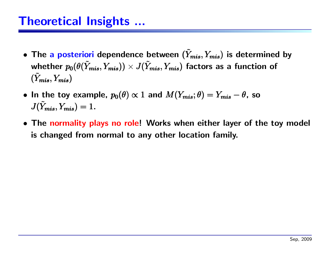- $\bullet$  The a posteriori dependence between  $(\tilde{Y}_n)$  $(\tilde Y_{\boldsymbol{mis}}, Y_{\boldsymbol{mis}})$  $(\tilde{Y}_t$  $(Y_{\textit{mis}}, Y_{\textit{mis}})$  is determined by whether  $p_0(\theta(\tilde{Y}_n)$  $p_{\bm{0}}(\theta(\tilde{Y}_{mis}, Y_{mis}))$  $p_{\bf 0}(\theta(\tilde{Y}_{mis}, Y_{mis}))\times J(\tilde{Y}_{n})$  $J(\tilde Y_{mis}, Y_{mis})$  factors as a function of  $(\tilde{Y}_\imath$  $(\tilde Y_{\boldsymbol{mis}}, Y_{\boldsymbol{mis}})$  $(\tilde{Y}_\imath$  $m_{\boldsymbol{i}\boldsymbol{s}},Y_{\boldsymbol{m}\boldsymbol{i}\boldsymbol{s}})$
- $\bullet\,$  In the toy example,  $p_0(\theta)\propto 1$  and  $M(Y_{mis};\theta)=Y_{mis}-\theta$ , so  $J(\tilde{Y}_n$  $J(\tilde{Y}_{mis}, Y_{mis}) = 1$  $J(\tilde{Y}_n$  $\left(Y_{mis},Y_{mis}\right)=1.$
- The normality plays no role! Works when either layer of the toy model is changed from normal to any other location family.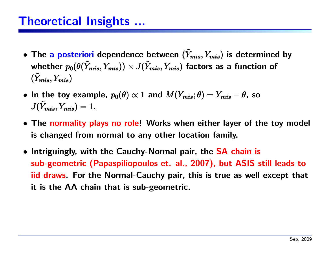- $\bullet$  The a posteriori dependence between  $(\tilde{Y}_n)$  $(\tilde Y_{\boldsymbol{mis}}, Y_{\boldsymbol{mis}})$  $(\tilde{Y}_t$  $(Y_{\textit{mis}}, Y_{\textit{mis}})$  is determined by whether  $p_0(\theta(\tilde{Y}_n)$  $p_{\bm{0}}(\theta(\tilde{Y}_{mis}, Y_{mis}))$  $p_{\bf 0}(\theta(\tilde{Y}_{mis}, Y_{mis}))\times J(\tilde{Y}_{n})$  $J(\tilde Y_{mis}, Y_{mis})$  factors as a function of  $(\tilde{Y}_\imath$  $(\tilde Y_{\boldsymbol{mis}}, Y_{\boldsymbol{mis}})$  $(\tilde{Y}_\imath$  $m_{\boldsymbol{i}\boldsymbol{s}},Y_{\boldsymbol{m}\boldsymbol{i}\boldsymbol{s}})$
- $\bullet\,$  In the toy example,  $p_0(\theta)\propto 1$  and  $M(Y_{mis};\theta)=Y_{mis}-\theta$ , so  $J(\tilde{Y}_n$  $J(\tilde{Y}_{mis}, Y_{mis}) = 1$  $J(\tilde{Y}_n$  $\left(Y_{mis},Y_{mis}\right)=1.$
- The normality plays no role! Works when either layer of the toy model is changed from normal to any other location family.
- Intriguingly, with the Cauchy-Normal pair, the SA chain is sub-geometric (Papaspiliopoulos et. al., 2007), but ASIS still leads to iid draws. For the Normal-Cauchy pair, this is true as well except that it is the AA chain that is sub-geometric.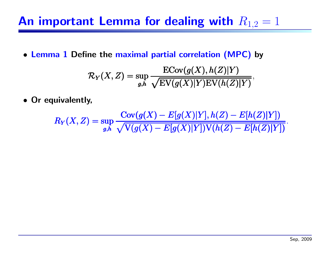#### An important Lemma for dealing with  $R_{1,2}=1$

• Lemma 1 Define the maximal partial correlation (MPC) by

$$
\mathcal{R}_Y(X,Z)=\sup_{g,h}\frac{\mathrm{ECov}(g(X),h(Z)|Y)}{\sqrt{\mathrm{EV}(g(X)|Y)\mathrm{EV}(h(Z)|Y)}},
$$

• Or equivalently,

$$
R_Y(X,Z) = \sup_{g,h} \frac{\text{Cov}(g(X) - E[g(X)|Y], h(Z) - E[h(Z)|Y])}{\sqrt{\text{V}(g(X) - E[g(X)|Y])\text{V}(h(Z) - E[h(Z)|Y])}}.
$$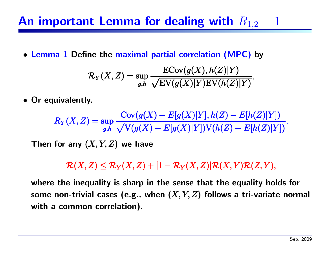#### An important Lemma for dealing with  $R_{1,2}=1$

• Lemma 1 Define the maximal partial correlation (MPC) by

$$
\mathcal{R}_Y(X,Z)=\sup_{g,h}\frac{\mathrm{ECov}(g(X),h(Z)|Y)}{\sqrt{\mathrm{EV}(g(X)|Y)\mathrm{EV}(h(Z)|Y)}},
$$

• Or equivalently,

$$
R_Y(X,Z)=\sup_{g,h}\frac{\text{Cov}(g(X)-E[g(X)|Y],h(Z)-E[h(Z)|Y])}{\sqrt{\text{V}(g(X)-E[g(X)|Y])\text{V}(h(Z)-E[h(Z)|Y])}}.
$$

Then for any  $(X, Y, Z)$  we have

#### $\mathcal{R}(X, Z) \leq \mathcal{R}_Y(X, Z) + [1 - \mathcal{R}_Y(X, Z)] \mathcal{R}(X, Y) \mathcal{R}(Z, Y),$

where the inequality is sharp in the sense that the equality holds for some non-trivial cases (e.g., when  $(X, Y, Z)$  follows a tri-variate normal with <sup>a</sup> common correlation).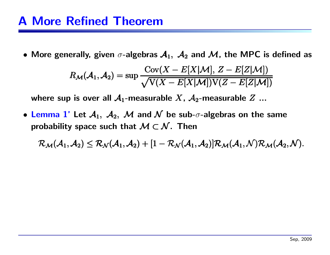$\bullet$  More generally, given  $\sigma$ -algebras  $\mathcal{A}_1, \ \mathcal{A}_2$  and  $\mathcal{M}$ , the MPC is defined as

$$
R_{\mathcal{M}}(\mathcal{A}_1, \mathcal{A}_2) = \sup \frac{\text{Cov}(X - E[X|\mathcal{M}],\,Z - E[Z|\mathcal{M}])}{\sqrt{\text{V}(X - E[X|\mathcal{M}])\text{V}(Z - E[Z|\mathcal{M}])}}
$$

where sup is over all  $\mathcal{A}_1$ -measurable X,  $\mathcal{A}_2$ -measurable Z ...

 $\bullet$  Lemma  $1'$  Let  $\mathcal{A}_1,$   $\mathcal{A}_2,$   $\mathcal{M}$  and  $\mathcal N$  be sub- $\sigma$ -algebras on the same probability space such that  $M \subset \mathcal{N}$ . Then

 $\mathcal{R}_{\mathcal{M}}(\mathcal{A}_1, \mathcal{A}_2) \leq \mathcal{R}_{\mathcal{N}}(\mathcal{A}_1, \mathcal{A}_2) + [1 - \mathcal{R}_{\mathcal{N}}(\mathcal{A}_1, \mathcal{A}_2)] \mathcal{R}_{\mathcal{M}}(\mathcal{A}_1, \mathcal{N}) \mathcal{R}_{\mathcal{M}}(\mathcal{A}_2, \mathcal{N}).$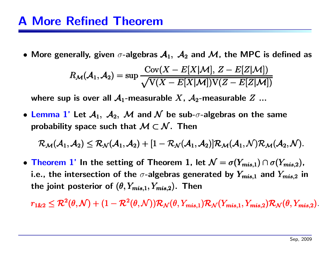$\bullet$  More generally, given  $\sigma$ -algebras  $\mathcal{A}_1, \ \mathcal{A}_2$  and  $\mathcal{M}$ , the MPC is defined as

$$
R_{\mathcal{M}}(\mathcal{A}_1, \mathcal{A}_2) = \sup \frac{\text{Cov}(X - E[X|\mathcal{M}], Z - E[Z|\mathcal{M}])}{\sqrt{\text{V}(X - E[X|\mathcal{M}])\text{V}(Z - E[Z|\mathcal{M}])}}
$$

where sup is over all  $\mathcal{A}_1$ -measurable X,  $\mathcal{A}_2$ -measurable Z ...

 $\bullet$  Lemma  $1'$  Let  $\mathcal{A}_1,$   $\mathcal{A}_2,$   $\mathcal{M}$  and  $\mathcal N$  be sub- $\sigma$ -algebras on the same probability space such that  $M \subset \mathcal{N}$ . Then

 $\mathcal{R}_{\mathcal{M}}(\mathcal{A}_1, \mathcal{A}_2) \leq \mathcal{R}_{\mathcal{N}}(\mathcal{A}_1, \mathcal{A}_2) + [1 - \mathcal{R}_{\mathcal{N}}(\mathcal{A}_1, \mathcal{A}_2)] \mathcal{R}_{\mathcal{M}}(\mathcal{A}_1, \mathcal{N}) \mathcal{R}_{\mathcal{M}}(\mathcal{A}_2, \mathcal{N}).$ 

 $\bullet$  Theorem  $1'$  In the setting of Theorem 1, let  $\mathcal{N} = \sigma(Y_{mis,1}) \cap \sigma(Y_{mis,2})$ , i.e., the intersection of the  $\sigma$ -algebras generated by  $Y_{mis,1}$  and  $Y_{mis,2}$  in the joint posterior of  $(\theta, Y_{mis,1}, Y_{mis,2})$ . Then

 $r_{1k,2} \leq \mathcal{R}^2(\theta,\mathcal{N}) + (1-\mathcal{R}^2(\theta,\mathcal{N}))\mathcal{R}_{\mathcal{N}}(\theta,Y_{mis,1})\mathcal{R}_{\mathcal{N}}(Y_{mis,1},Y_{mis,2})\mathcal{R}_{\mathcal{N}}(\theta,Y_{mis,2}).$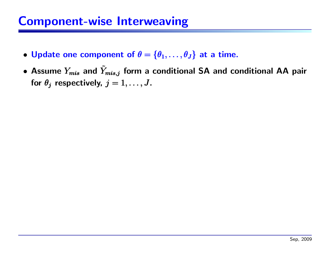#### Component-wise Interweaving

- $\bullet$  Update one component of  $\theta = \{\theta_1, \ldots, \theta_J\}$  at a time.
- $\bullet$  Assume  $Y_{mis}$  and  $\tilde{Y}_i$  $\tilde{Y}_{mis,j}$  form a conditional SA and conditional AA pair for  $\theta_j$  respectively,  $j = 1, \ldots, J$ .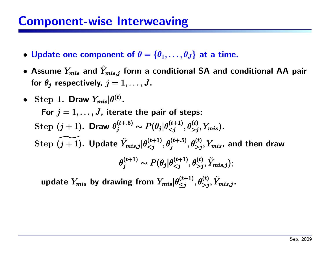#### Component-wise Interweaving

- $\bullet$  Update one component of  $\theta = \{\theta_1, \ldots, \theta_J\}$  at a time.
- $\bullet$  Assume  $Y_{mis}$  and  $\tilde{Y}_i$  $\tilde{Y}_{mis,j}$  form a conditional SA and conditional AA pair for  $\theta_i$  respectively,  $j = 1, \ldots, J$ .
- Step 1. Draw  $Y_{mis}|\theta^{(t)}$ . For  $j = 1, \ldots, J$ , iterate the pair of steps: Step  $(j + 1)$ . Draw  $\theta_i^{(t+.5)} \sim P(\theta_i | \theta_{i}^{(t)}, Y_{mis})$ . Step ( —<br>—  $(j+1).$  Update  $\tilde{Y}_n$  $\tilde{Y}_{mis,j}|\theta_{< j}^{(t+1)},\theta_{j}^{(t+.5)},\theta_{> j}^{(t)}, Y_{mis},$  and then draw  $\theta_i^{(t+1)} \sim P(\theta_i | \theta_{\leq i}^{(t+1)}, \theta_{\leq i}^{(t)}, \tilde{Y}_{mis,i} );$

update  $Y_{mis}$  by drawing from  $Y_{mis}|\theta_{< j}^{(t+1)}, \theta_{> j}^{(t)}, \tilde{Y}_{mis,j}$ .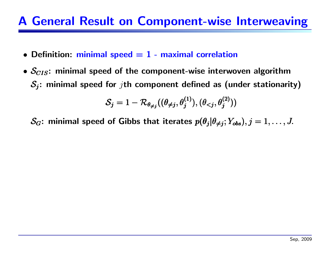#### A General Result on Component-wise Interweaving

- Definition: minimal speed  $= 1$  maximal correlation
- $\bullet$   $\mathcal{S}_{CIS}$ : minimal speed of the component-wise interwoven algorithm  $S_i$ : minimal speed for *j*th component defined as (under stationarity)

$$
\mathcal{S}_j = 1 - \mathcal{R}_{\theta_{\neq j}}((\theta_{\neq j},\theta_j^{(1)}),(\theta_{
$$

 $\mathcal{S}_G$ : minimal speed of Gibbs that iterates  $p(\theta_j | \theta_{\neq j}; Y_{obs}), j = 1, \ldots, J$ .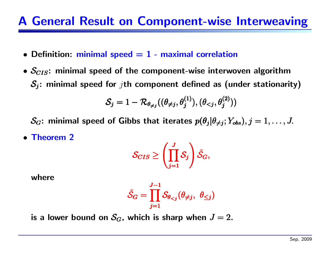#### A General Result on Component-wise Interweaving

- Definition: minimal speed  $= 1$  maximal correlation
- $\bullet$   $\mathcal{S}_{CIS}$ : minimal speed of the component-wise interwoven algorithm  $S_i$ : minimal speed for *j*th component defined as (under stationarity)

$$
\mathcal{S}_j = 1 - \mathcal{R}_{\theta_{\neq j}}((\theta_{\neq j}, \theta_j^{(1)}), (\theta_{
$$

 $\mathcal{S}_G$ : minimal speed of Gibbs that iterates  $p(\theta_j | \theta_{\neq j}; Y_{obs}), j = 1, \ldots, J$ .

• Theorem 2

$$
\mathcal{S}_{CIS} \ge \left(\prod_{j=1}^J \mathcal{S}_j\right) \tilde{\mathcal{S}}_G,
$$

where

$$
\tilde{\mathcal{S}}_G = \prod_{j=1}^{J-1} \mathcal{S}_{\theta_{
$$

is a lower bound on  $\mathcal{S}_G$ , which is sharp when  $J=2$ .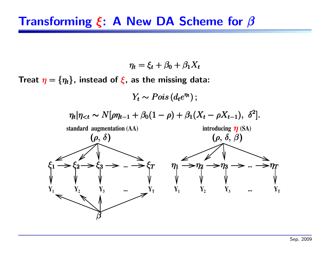#### Transforming  $\xi$ : A New DA Scheme for  $\beta$



 $\eta_t = \xi_t + \beta_0 + \beta_1 X_t$ 

eplacements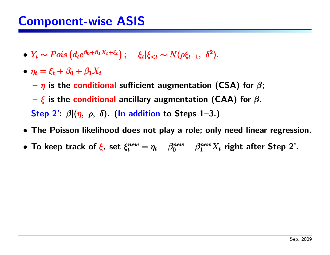- • $\bullet Y_t \sim Pois\left(d_te^{\beta_0+\beta_1X_t+\xi_t}\right); \quad \xi_t|\xi_{< t} \sim N(\rho \xi_{t-1},\delta^2).$
- $\bullet~~ \eta_t = \xi_t + \beta_0 + \beta_1 X_t$ 
	- – $\eta$  is the conditional sufficient augmentation (CSA) for  $\beta;$
	- $\xi$  is the conditional ancillary augmentation (CAA) for  $\beta.$ Step 2':  $\beta$  $(\eta, \rho, \delta)$ . (In addition to Steps 1-3.)
- The Poisson likelihood does not play <sup>a</sup> role; only need linear regression.
- To keep track of  $\xi$ , set  $\xi_t^{new} = \eta_t \beta_0^{new} \beta_1^{new} X_t$  right after Step 2'.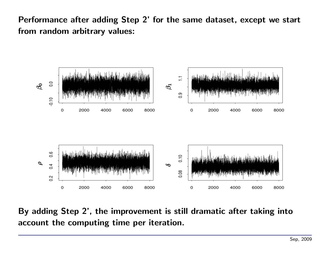$Performance$  afteg adding Step 2' for the same dataset, except we start from random arbigrary values: eplacements





By adding Step 2', the improvement is still dramatic after taking into account the computing time per iteration.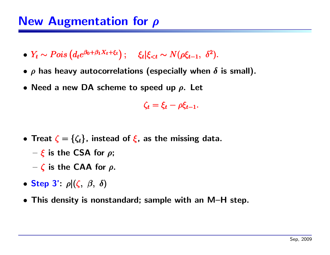### New Augmentation for ρ

- • $\bullet Y_t \sim Pois\left(d_te^{\beta_0+\beta_1X_t+\xi_t}\right); \quad \xi_t|\xi_{< t} \sim N(\rho \xi_{t-1},\delta^2).$
- $\bullet$   $\rho$  has heavy autocorrelations (especially when  $\delta$  is small).
- Need a new DA scheme to speed up  $\rho$ . Let

 $\zeta_t = \xi_t - \rho \xi_{t-1}.$ 

- Treat  $\zeta=\{\zeta_t\}$ , instead of  $\xi$ , as the missing data.
	- $\xi$  is the CSA for  $\rho;$
	- $\zeta$  is the CAA for  $\rho.$
- Step 3':  $\rho$ | $(\zeta, \; \beta, \; \delta)$
- This density is nonstandard; sample with an M–H step.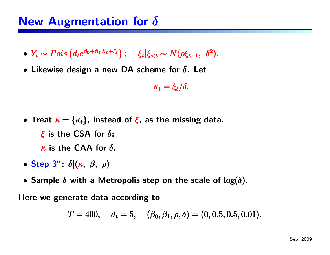### New Augmentation for  $\delta$

- • $\bullet Y_t \sim Pois\left(d_te^{\beta_0+\beta_1X_t+\xi_t}\right); \quad \xi_t|\xi_{< t} \sim N(\rho \xi_{t-1}, \ \delta^2).$
- $\bullet$  Likewise design a new DA scheme for  $\delta.$  Let

 $\kappa_t = \xi_t/\delta.$ 

- Treat  $\kappa = \{\kappa_t\}$ , instead of  $\xi$ , as the missing data.
	- $\xi$  is the CSA for  $\delta;$
	- $\kappa$  is the CAA for  $\delta.$
- Step 3":  $\delta$  $(\kappa, \; \beta, \; \rho)$
- $\bullet$  Sample  $\delta$  with a Metropolis step on the scale of  $\log(\delta).$

Here we generate data according to

$$
T = 400
$$
,  $d_t = 5$ ,  $(\beta_0, \beta_1, \rho, \delta) = (0, 0.5, 0.5, 0.01)$ .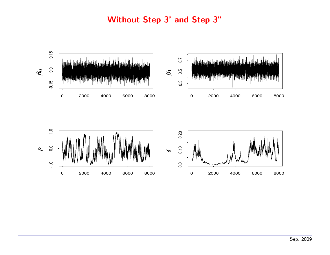# replacements **ncements**

#### Without Step 3' and Step 3"



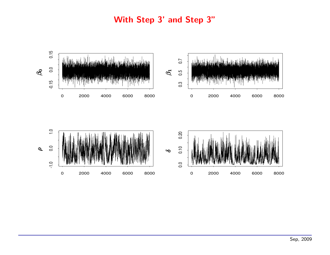



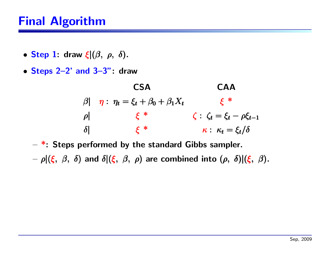# Final Algorithm

- Step 1: draw  $\xi | (\beta, \; \rho, \; \delta).$
- Steps 2–2' and 3–3": draw

CSA CAA β|  $η: η_t = ξ_t + β_0 + β_1 X_t$   $ξ^*$  $\rho$ |  $\xi$  \*  $\zeta$ :  $\zeta_t = \xi_t - \rho \xi_{t-1}$ δ|  $\xi^*$   $\kappa: \kappa_t = \xi_t/\delta$ 

– \*: Steps performed by the standard Gibbs sampler.

 $\Gamma-\rho|(\xi,~\beta,~\delta)$  and  $\delta|(\xi,~\beta,~\rho)$  are combined into  $(\rho,~\delta)|(\xi,~\beta).$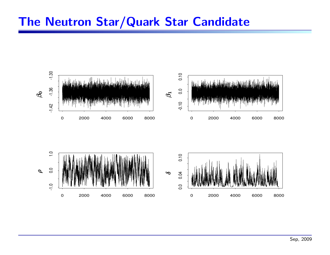# The Neutron Star/Quark Star Candidate PSfrag replacements

ments



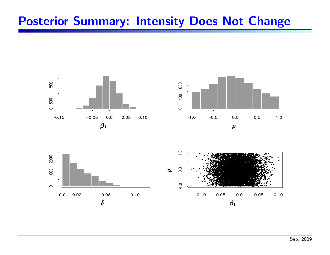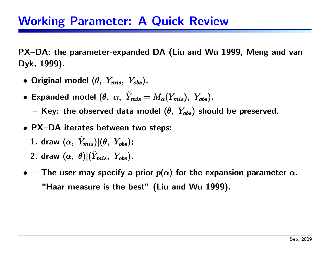PX–DA: the parameter-expanded DA (Liu and Wu 1999, Meng and van Dyk, 1999).

- Original model  $(\theta,\;Y_{mis},\;Y_{obs})$ .
- Expanded model  $(\theta, \ \alpha, \ \tilde{Y}_n)$  $(\pmb{\theta}, \,\, \alpha, \,\, \tilde{Y}_{mis} = M_{\pmb{\alpha}}(Y_{mis}), \,\, Y_{obs})$  $(\pmb\theta,\,\, \alpha,\,\, \tilde Y_{\pmb{mis}}=M_{\pmb{\alpha}}(Y_{\pmb{mis}}),\,\, Y_{\pmb{obs}}).$ 
	- $-$  Key: the observed data model  $(\theta,\;Y_{obs})$  should be preserved.
- PX–DA iterates between two steps:
	- 1. draw  $(\alpha, \ \tilde{Y}_n)$  $(\alpha, \ \tilde{Y}_{mis})|(\theta, \ Y_{obs})$  $(\alpha,~Y_{\rm \prime}$  $\mathcal{F}_{mis})|(\theta, \,\, Y_{obs});$
	- 2. draw  $(\alpha, \,\, \theta) | (\tilde{Y}_n)$  $(\alpha,\;\theta)|(Y_{mis},\;Y_{obs})$  $(\alpha,\;\theta)|(\tilde{Y}_n$  $\left( \begin{matrix} 1 \ mis, \end{matrix} \right) \left( \begin{matrix} Y_{obs} \end{matrix} \right).$
- $\bullet$   $-$  The user may specify a prior  $p(\alpha)$  for the expansion parameter  $\alpha.$ 
	- – $-$  "Haar measure is the best" (Liu and Wu 1999).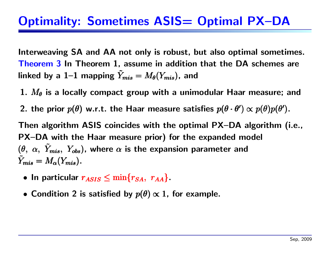Interweaving SA and AA not only is robust, but also optimal sometimes. Theorem 3 In Theorem 1, assume in addition that the DA schemes are linked by a 1–1 mapping  $\tilde{Y}_n$  $\tilde{Y}_{mis} = M_{\theta}(Y_{mis})$  $\tilde{Y}_{mis}=M_{\theta}(Y_{mis})$ , and

- 1.  $M_{\theta}$  is a locally compact group with a unimodular Haar measure; and
- 2. the prior  $p(\theta)$  w.r.t. the Haar measure satisfies  $p(\theta \cdot \theta') \propto p(\theta)p(\theta')$ .

Then algorithm ASIS coincides with the optimal PX–DA algorithm (i.e., PX–DA with the Haar measure prior) for the expanded model  $(\theta, \,\, \alpha, \,\, \tilde{Y}_n$  $(\theta,\;\alpha,\;\widetilde{Y}_{\bm{mis}},\;Y_{\bm{obs}})$  $(\pmb{\theta},\,\,\pmb{\alpha},\,\,\tilde{Y})$  $(Y_{obs})$ , where  $\alpha$  is the expansion parameter and  $Y_{\cdot}$ ˜ $\tilde{Y}_{\bm{mis}} = M_{\bm{\alpha}}(Y_{\bm{mis}})$  .

- In particular  $r_{ASIS} \leq \min\{r_{SA},\,\,r_{AA}\}.$
- Condition 2 is satisfied by  $p(\theta)\propto 1$ , for example.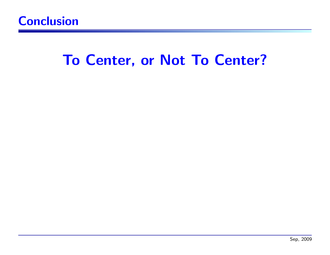

# To Center, or Not To Center?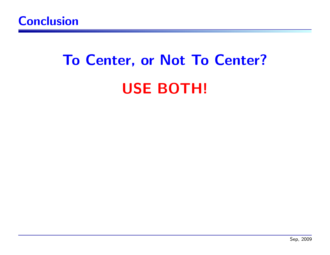

# To Center, or Not To Center? USE BOTH!